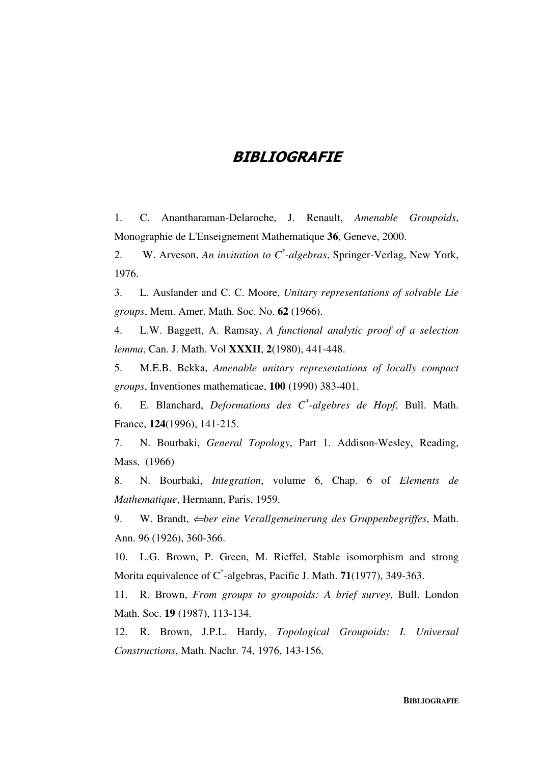## **BIBLIOGRAFIE**

1. C. Anantharaman-Delaroche, J. Renault, *Amenable Groupoids*, Monographie de L'Enseignement Mathematique **36**, Geneve, 2000.

2. W. Arveson, *An invitation to C\* -algebras*, Springer-Verlag, New York, 1976.

3. L. Auslander and C. C. Moore, *Unitary representations of solvable Lie groups*, Mem. Amer. Math. Soc. No. **62** (1966).

4. L.W. Baggett, A. Ramsay, *A functional analytic proof of a selection lemma*, Can. J. Math. Vol **XXXII**, **2**(1980), 441-448.

5. M.E.B. Bekka, *Amenable unitary representations of locally compact groups*, Inventiones mathematicae, **100** (1990) 383-401.

6. E. Blanchard, *Deformations des C\* -algebres de Hopf*, Bull. Math. France, **124**(1996), 141-215.

7. N. Bourbaki, *General Topology*, Part 1. Addison-Wesley, Reading, Mass. (1966)

8. N. Bourbaki, *Integration*, volume 6, Chap. 6 of *Elements de Mathematique*, Hermann, Paris, 1959.

9. W. Brandt, ⇐*ber eine Verallgemeinerung des Gruppenbegriffes*, Math. Ann. 96 (1926), 360-366.

10. L.G. Brown, P. Green, M. Rieffel, Stable isomorphism and strong Morita equivalence of C\* -algebras, Pacific J. Math. **71**(1977), 349-363.

11. R. Brown, *From groups to groupoids: A brief survey*, Bull. London Math. Soc. **19** (1987), 113-134.

12. R. Brown, J.P.L. Hardy, *Topological Groupoids: I. Universal Constructions*, Math. Nachr. 74, 1976, 143-156.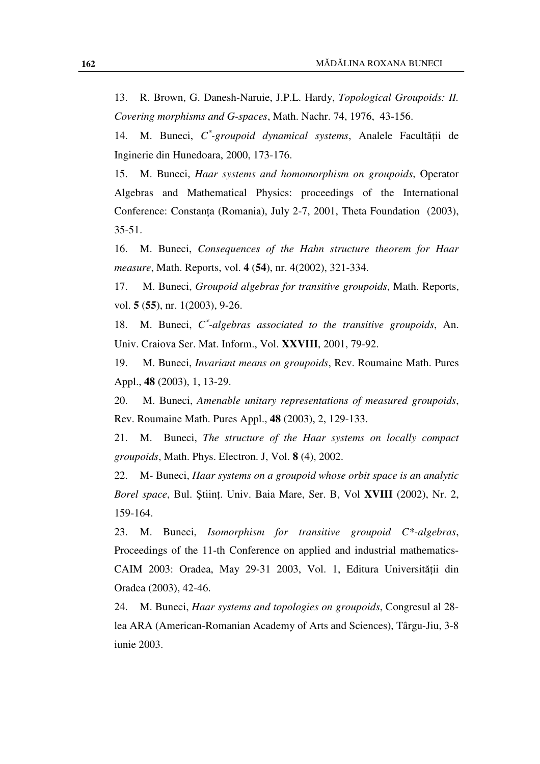13. R. Brown, G. Danesh-Naruie, J.P.L. Hardy, *Topological Groupoids: II. Covering morphisms and G-spaces*, Math. Nachr. 74, 1976, 43-156.

14. M. Buneci, *C* ∗ *-groupoid dynamical systems*, Analele Facultăţii de Inginerie din Hunedoara, 2000, 173-176.

15. M. Buneci, *Haar systems and homomorphism on groupoids*, Operator Algebras and Mathematical Physics: proceedings of the International Conference: Constanta (Romania), July 2-7, 2001, Theta Foundation (2003), 35-51.

16. M. Buneci, *Consequences of the Hahn structure theorem for Haar measure*, Math. Reports, vol. **4** (**54**), nr. 4(2002), 321-334.

17. M. Buneci, *Groupoid algebras for transitive groupoids*, Math. Reports, vol. **5** (**55**), nr. 1(2003), 9-26.

18. M. Buneci, C\*-algebras associated to the transitive groupoids, An. Univ. Craiova Ser. Mat. Inform., Vol. **XXVIII**, 2001, 79-92.

19. M. Buneci, *Invariant means on groupoids*, Rev. Roumaine Math. Pures Appl., **48** (2003), 1, 13-29.

20. M. Buneci, *Amenable unitary representations of measured groupoids*, Rev. Roumaine Math. Pures Appl., **48** (2003), 2, 129-133.

21. M. Buneci, *The structure of the Haar systems on locally compact groupoids*, Math. Phys. Electron. J, Vol. **8** (4), 2002.

22. M- Buneci, *Haar systems on a groupoid whose orbit space is an analytic Borel space*, Bul. Ştiinţ. Univ. Baia Mare, Ser. B, Vol **XVIII** (2002), Nr. 2, 159-164.

23. M. Buneci, *Isomorphism for transitive groupoid C\*-algebras*, Proceedings of the 11-th Conference on applied and industrial mathematics-CAIM 2003: Oradea, May 29-31 2003, Vol. 1, Editura Universităţii din Oradea (2003), 42-46.

24. M. Buneci, *Haar systems and topologies on groupoids*, Congresul al 28 lea ARA (American-Romanian Academy of Arts and Sciences), Târgu-Jiu, 3-8 iunie 2003.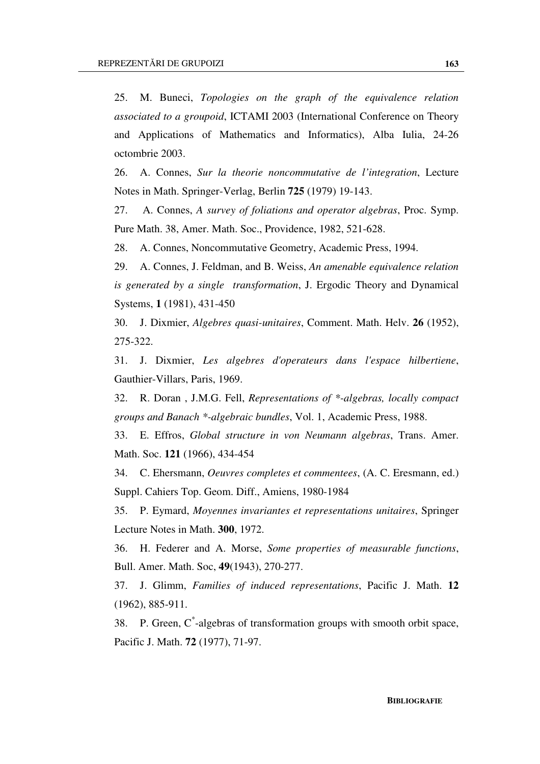25. M. Buneci, *Topologies on the graph of the equivalence relation associated to a groupoid*, ICTAMI 2003 (International Conference on Theory and Applications of Mathematics and Informatics), Alba Iulia, 24-26 octombrie 2003.

26. A. Connes, *Sur la theorie noncommutative de l'integration*, Lecture Notes in Math. Springer-Verlag, Berlin **725** (1979) 19-143.

27. A. Connes, *A survey of foliations and operator algebras*, Proc. Symp. Pure Math. 38, Amer. Math. Soc., Providence, 1982, 521-628.

28. A. Connes, Noncommutative Geometry, Academic Press, 1994.

29. A. Connes, J. Feldman, and B. Weiss, *An amenable equivalence relation is generated by a single transformation*, J. Ergodic Theory and Dynamical Systems, **1** (1981), 431-450

30. J. Dixmier, *Algebres quasi-unitaires*, Comment. Math. Helv. **26** (1952), 275-322.

31. J. Dixmier, *Les algebres d'operateurs dans l'espace hilbertiene*, Gauthier-Villars, Paris, 1969.

32. R. Doran , J.M.G. Fell, *Representations of \*-algebras, locally compact groups and Banach \*-algebraic bundles*, Vol. 1, Academic Press, 1988.

33. E. Effros, *Global structure in von Neumann algebras*, Trans. Amer. Math. Soc. **121** (1966), 434-454

34. C. Ehersmann, *Oeuvres completes et commentees*, (A. C. Eresmann, ed.) Suppl. Cahiers Top. Geom. Diff., Amiens, 1980-1984

35. P. Eymard, *Moyennes invariantes et representations unitaires*, Springer Lecture Notes in Math. **300**, 1972.

36. H. Federer and A. Morse, *Some properties of measurable functions*, Bull. Amer. Math. Soc, **49**(1943), 270-277.

37. J. Glimm, *Families of induced representations*, Pacific J. Math. **12** (1962), 885-911.

38. P. Green, C\*-algebras of transformation groups with smooth orbit space, Pacific J. Math. **72** (1977), 71-97.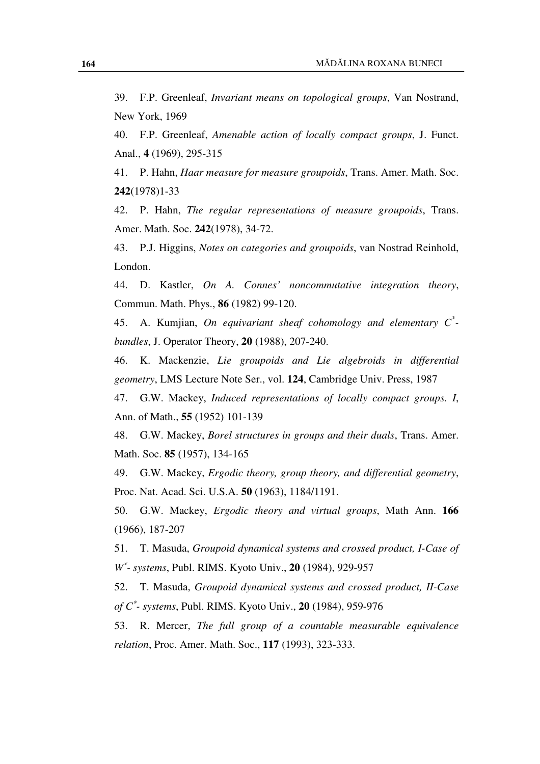39. F.P. Greenleaf, *Invariant means on topological groups*, Van Nostrand, New York, 1969

40. F.P. Greenleaf, *Amenable action of locally compact groups*, J. Funct. Anal., **4** (1969), 295-315

41. P. Hahn, *Haar measure for measure groupoids*, Trans. Amer. Math. Soc. **242**(1978)1-33

42. P. Hahn, *The regular representations of measure groupoids*, Trans. Amer. Math. Soc. **242**(1978), 34-72.

43. P.J. Higgins, *Notes on categories and groupoids*, van Nostrad Reinhold, London.

44. D. Kastler, *On A. Connes' noncommutative integration theory*, Commun. Math. Phys., **86** (1982) 99-120.

45. A. Kumjian, *On equivariant sheaf cohomology and elementary C\* bundles*, J. Operator Theory, **20** (1988), 207-240.

46. K. Mackenzie, *Lie groupoids and Lie algebroids in differential geometry*, LMS Lecture Note Ser., vol. **124**, Cambridge Univ. Press, 1987

47. G.W. Mackey, *Induced representations of locally compact groups. I*, Ann. of Math., **55** (1952) 101-139

48. G.W. Mackey, *Borel structures in groups and their duals*, Trans. Amer. Math. Soc. **85** (1957), 134-165

49. G.W. Mackey, *Ergodic theory, group theory, and differential geometry*, Proc. Nat. Acad. Sci. U.S.A. **50** (1963), 1184/1191.

50. G.W. Mackey, *Ergodic theory and virtual groups*, Math Ann. **166** (1966), 187-207

51. T. Masuda, *Groupoid dynamical systems and crossed product, I-Case of W* ∗ *- systems*, Publ. RIMS. Kyoto Univ., **20** (1984), 929-957

52. T. Masuda, *Groupoid dynamical systems and crossed product, II-Case of C*<sup>∗</sup> *- systems*, Publ. RIMS. Kyoto Univ., **20** (1984), 959-976

53. R. Mercer, *The full group of a countable measurable equivalence relation*, Proc. Amer. Math. Soc., **117** (1993), 323-333.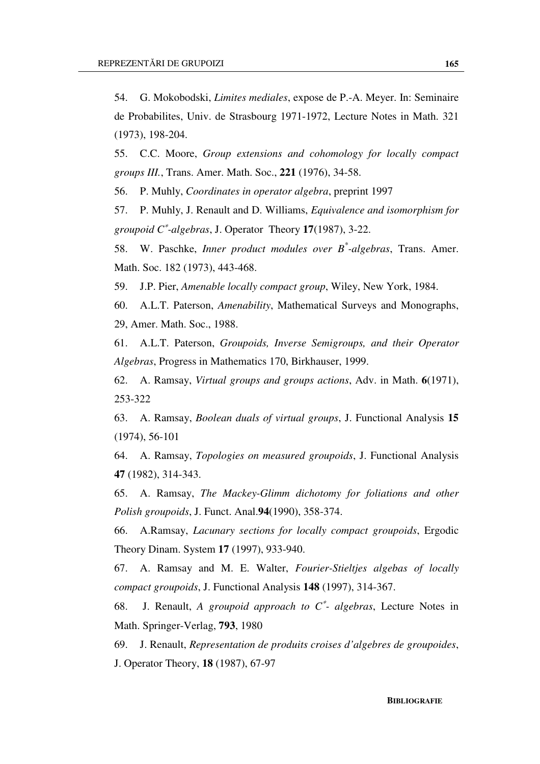54. G. Mokobodski, *Limites mediales*, expose de P.-A. Meyer. In: Seminaire de Probabilites, Univ. de Strasbourg 1971-1972, Lecture Notes in Math. 321 (1973), 198-204.

55. C.C. Moore, *Group extensions and cohomology for locally compact groups III.*, Trans. Amer. Math. Soc., **221** (1976), 34-58.

56. P. Muhly, *Coordinates in operator algebra*, preprint 1997

57. P. Muhly, J. Renault and D. Williams, *Equivalence and isomorphism for groupoid C*<sup>∗</sup> *-algebras*, J. Operator Theory **17**(1987), 3-22.

58. W. Paschke, *Inner product modules over B\* -algebras*, Trans. Amer. Math. Soc. 182 (1973), 443-468.

59. J.P. Pier, *Amenable locally compact group*, Wiley, New York, 1984.

60. A.L.T. Paterson, *Amenability*, Mathematical Surveys and Monographs, 29, Amer. Math. Soc., 1988.

61. A.L.T. Paterson, *Groupoids, Inverse Semigroups, and their Operator Algebras*, Progress in Mathematics 170, Birkhauser, 1999.

62. A. Ramsay, *Virtual groups and groups actions*, Adv. in Math. **6**(1971), 253-322

63. A. Ramsay, *Boolean duals of virtual groups*, J. Functional Analysis **15** (1974), 56-101

64. A. Ramsay, *Topologies on measured groupoids*, J. Functional Analysis **47** (1982), 314-343.

65. A. Ramsay, *The Mackey-Glimm dichotomy for foliations and other Polish groupoids*, J. Funct. Anal.**94**(1990), 358-374.

66. A.Ramsay, *Lacunary sections for locally compact groupoids*, Ergodic Theory Dinam. System **17** (1997), 933-940.

67. A. Ramsay and M. E. Walter, *Fourier-Stieltjes algebas of locally compact groupoids*, J. Functional Analysis **148** (1997), 314-367.

68. J. Renault, *A groupoid approach to C*<sup>∗</sup> *- algebras*, Lecture Notes in Math. Springer-Verlag, **793**, 1980

69. J. Renault, *Representation de produits croises d'algebres de groupoides*, J. Operator Theory, **18** (1987), 67-97